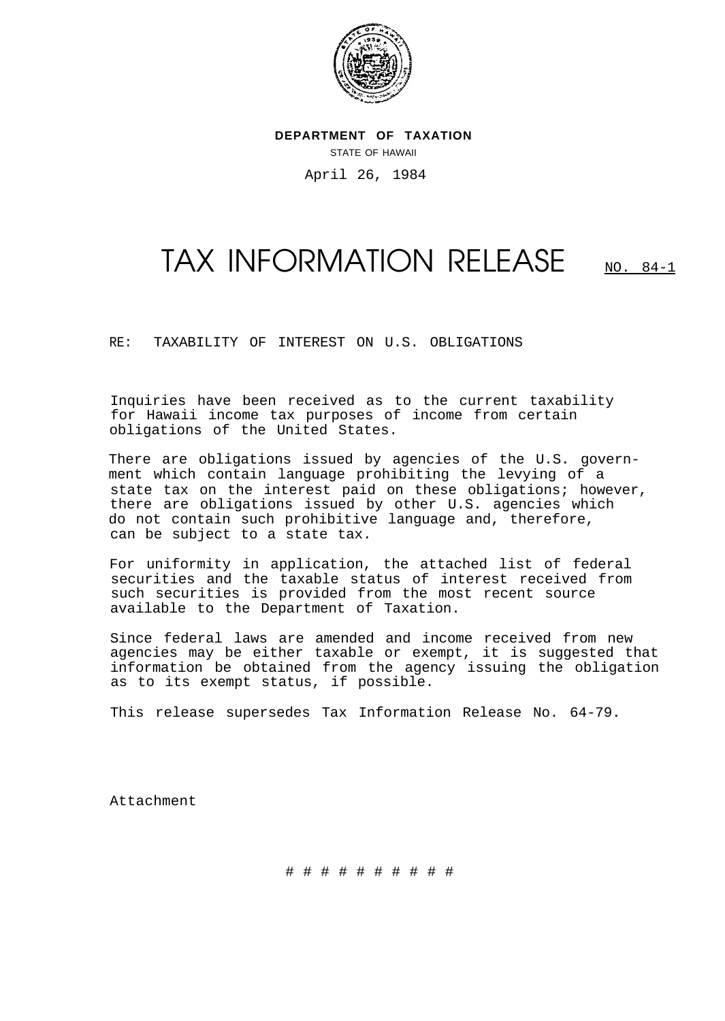

**DEPARTMENT OF TAXATION** STATE OF HAWAII April 26, 1984

## TAX INFORMATION RELEASE NO. 84-1

RE: TAXABILITY OF INTEREST ON U.S. OBLIGATIONS

Inquiries have been received as to the current taxability for Hawaii income tax purposes of income from certain obligations of the United States.

There are obligations issued by agencies of the U.S. government which contain language prohibiting the levying of a state tax on the interest paid on these obligations; however, there are obligations issued by other U.S. agencies which do not contain such prohibitive language and, therefore, can be subject to a state tax.

For uniformity in application, the attached list of federal securities and the taxable status of interest received from such securities is provided from the most recent source available to the Department of Taxation.

Since federal laws are amended and income received from new agencies may be either taxable or exempt, it is suggested that information be obtained from the agency issuing the obligation as to its exempt status, if possible.

This release supersedes Tax Information Release No. 64-79.

Attachment